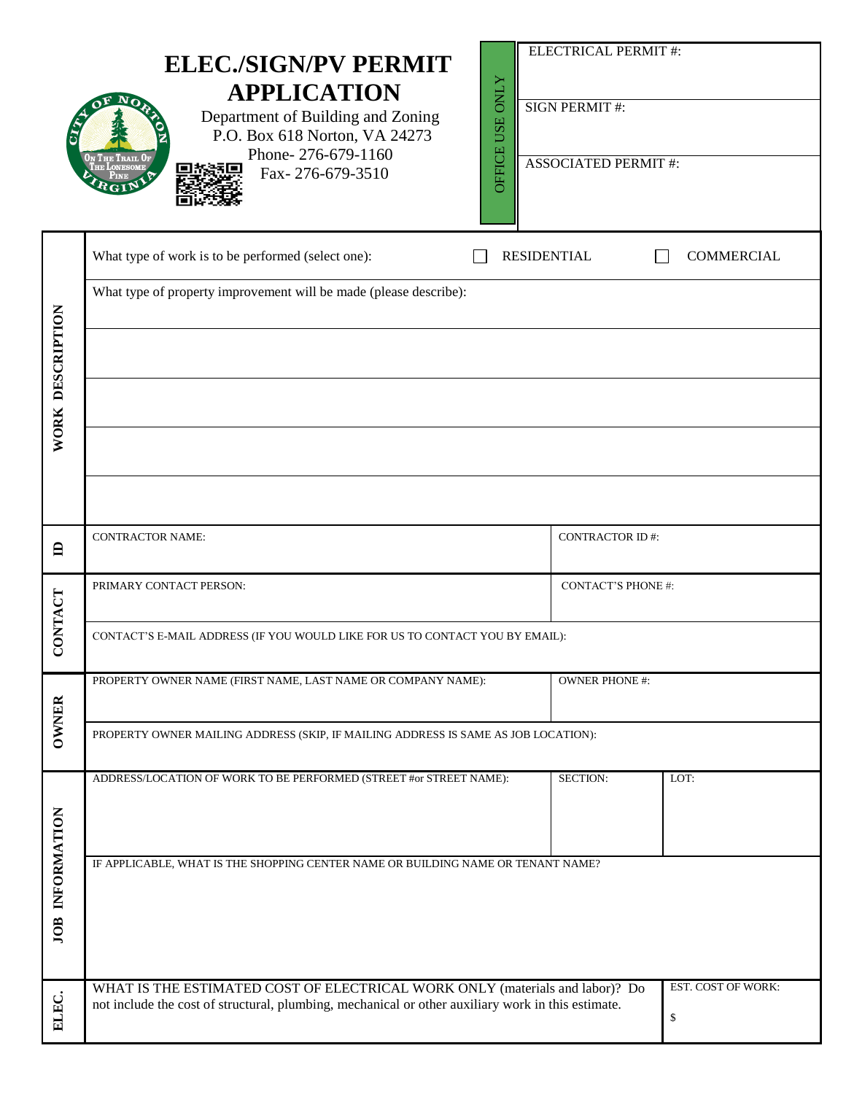|                  | <b>ELEC./SIGN/PV PERMIT</b><br><b>APPLICATION</b><br>Department of Building and Zoning<br>P.O. Box 618 Norton, VA 24273<br>Phone-276-679-1160<br>Fax-276-679-3510                  | <b>OFFICE USE ONLY</b>    | ELECTRICAL PERMIT #:<br><b>SIGN PERMIT#:</b><br><b>ASSOCIATED PERMIT#:</b> |                          |  |  |  |
|------------------|------------------------------------------------------------------------------------------------------------------------------------------------------------------------------------|---------------------------|----------------------------------------------------------------------------|--------------------------|--|--|--|
|                  | What type of work is to be performed (select one):                                                                                                                                 |                           | <b>RESIDENTIAL</b>                                                         | <b>COMMERCIAL</b>        |  |  |  |
|                  | What type of property improvement will be made (please describe):                                                                                                                  |                           |                                                                            |                          |  |  |  |
| WORK DESCRIPTION |                                                                                                                                                                                    |                           |                                                                            |                          |  |  |  |
|                  |                                                                                                                                                                                    |                           |                                                                            |                          |  |  |  |
|                  |                                                                                                                                                                                    |                           |                                                                            |                          |  |  |  |
|                  |                                                                                                                                                                                    |                           |                                                                            |                          |  |  |  |
| 白                | <b>CONTRACTOR NAME:</b>                                                                                                                                                            | <b>CONTRACTOR ID#:</b>    |                                                                            |                          |  |  |  |
|                  | PRIMARY CONTACT PERSON:                                                                                                                                                            | <b>CONTACT'S PHONE #:</b> |                                                                            |                          |  |  |  |
| CONTACT          | CONTACT'S E-MAIL ADDRESS (IF YOU WOULD LIKE FOR US TO CONTACT YOU BY EMAIL):                                                                                                       |                           |                                                                            |                          |  |  |  |
|                  | PROPERTY OWNER NAME (FIRST NAME, LAST NAME OR COMPANY NAME):                                                                                                                       | <b>OWNER PHONE #:</b>     |                                                                            |                          |  |  |  |
| <b>OWNER</b>     | PROPERTY OWNER MAILING ADDRESS (SKIP, IF MAILING ADDRESS IS SAME AS JOB LOCATION):                                                                                                 |                           |                                                                            |                          |  |  |  |
|                  | ADDRESS/LOCATION OF WORK TO BE PERFORMED (STREET #or STREET NAME):                                                                                                                 |                           | SECTION:                                                                   | LOT:                     |  |  |  |
|                  |                                                                                                                                                                                    |                           |                                                                            |                          |  |  |  |
| JOB INFORMATION  | IF APPLICABLE, WHAT IS THE SHOPPING CENTER NAME OR BUILDING NAME OR TENANT NAME?                                                                                                   |                           |                                                                            |                          |  |  |  |
| ELEC.            | WHAT IS THE ESTIMATED COST OF ELECTRICAL WORK ONLY (materials and labor)? Do<br>not include the cost of structural, plumbing, mechanical or other auxiliary work in this estimate. |                           |                                                                            | EST. COST OF WORK:<br>\$ |  |  |  |